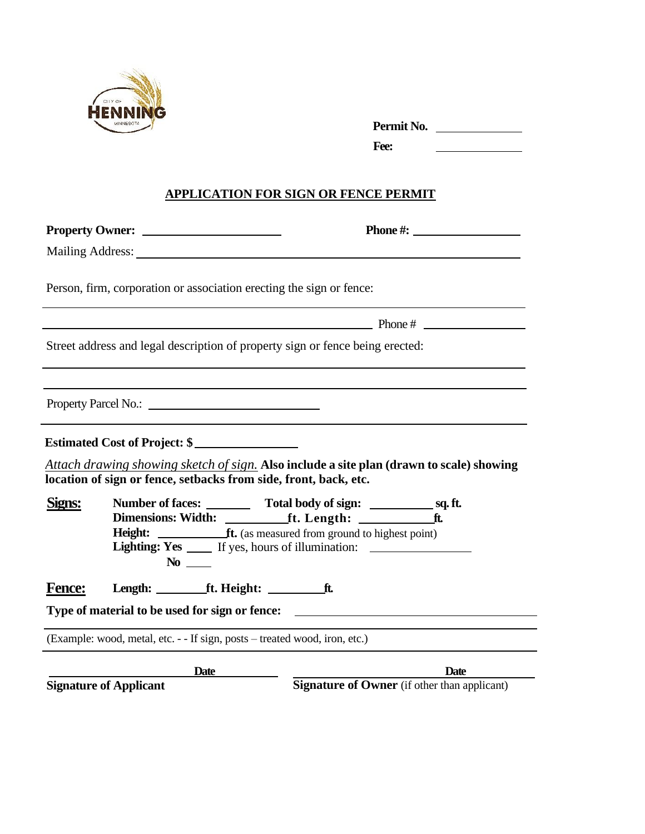

|        | <b>MINNESOTA</b>                                                           | Permit No.                                                                               |
|--------|----------------------------------------------------------------------------|------------------------------------------------------------------------------------------|
|        |                                                                            | Fee:<br><u> 1980 - Johann Barbara, martxa alemani</u> ar a                               |
|        |                                                                            | <b>APPLICATION FOR SIGN OR FENCE PERMIT</b>                                              |
|        |                                                                            | Phone $\#$ :                                                                             |
|        |                                                                            |                                                                                          |
|        | Person, firm, corporation or association erecting the sign or fence:       |                                                                                          |
|        |                                                                            |                                                                                          |
|        |                                                                            | Street address and legal description of property sign or fence being erected:            |
|        |                                                                            |                                                                                          |
|        | Property Parcel No.:                                                       |                                                                                          |
|        |                                                                            |                                                                                          |
|        | location of sign or fence, setbacks from side, front, back, etc.           | Attach drawing showing sketch of sign. Also include a site plan (drawn to scale) showing |
| Signs: |                                                                            | Lighting: Yes ______ If yes, hours of illumination: ____________________________         |
| Fence: | Length: ____________ft. Height: __________                                 | _ft.                                                                                     |
|        | Type of material to be used for sign or fence:                             |                                                                                          |
|        | (Example: wood, metal, etc. - - If sign, posts – treated wood, iron, etc.) |                                                                                          |
|        | Date                                                                       | <b>Date</b>                                                                              |

**Signature of Applicant Signature of Owner** (if other than applicant)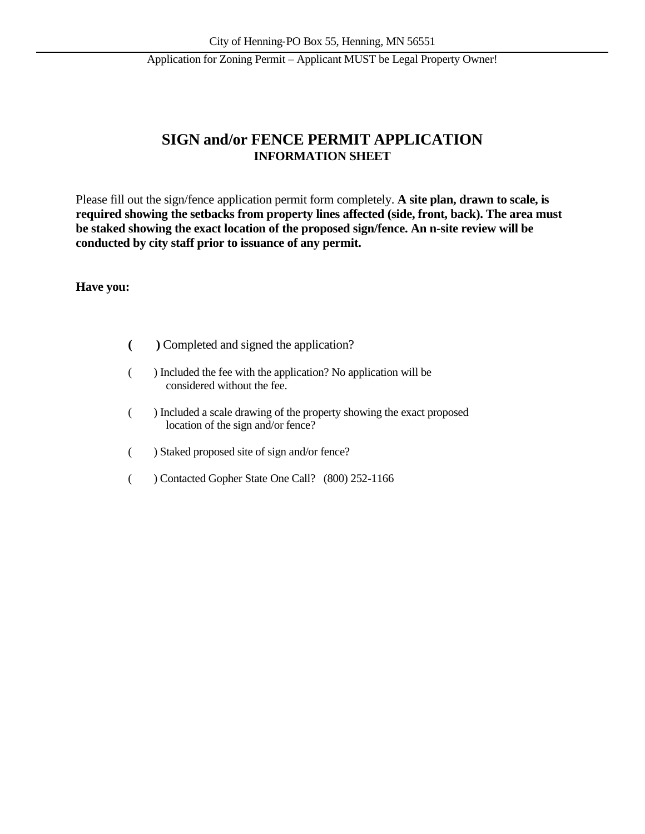## **SIGN and/or FENCE PERMIT APPLICATION INFORMATION SHEET**

Please fill out the sign/fence application permit form completely. **A site plan, drawn to scale, is required showing the setbacks from property lines affected (side, front, back). The area must be staked showing the exact location of the proposed sign/fence. An n-site review will be conducted by city staff prior to issuance of any permit.**

#### **Have you:**

- **( )** Completed and signed the application?
- ( ) Included the fee with the application? No application will be considered without the fee.
- ( ) Included a scale drawing of the property showing the exact proposed location of the sign and/or fence?
- ( ) Staked proposed site of sign and/or fence?
- ( ) Contacted Gopher State One Call? (800) 252-1166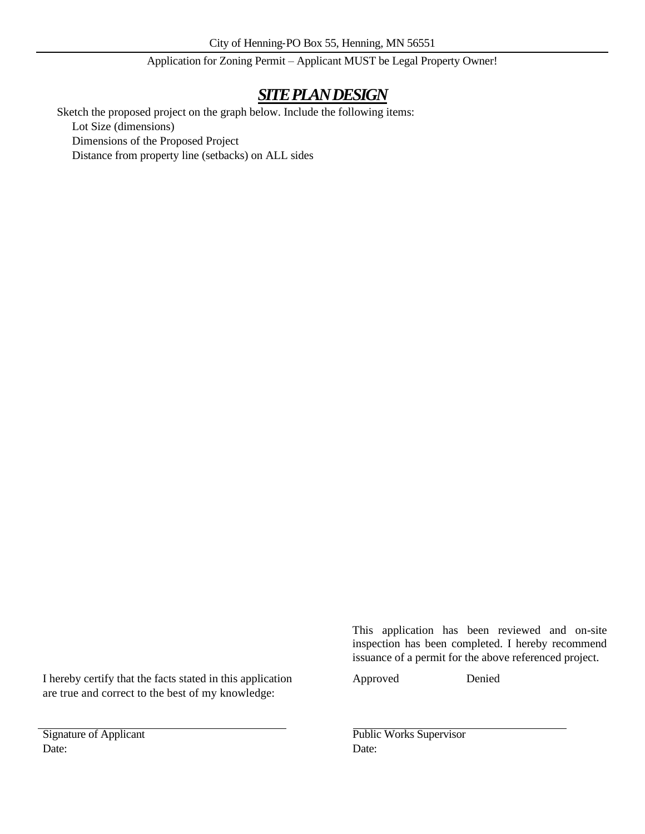# *SITE PLAN DESIGN*

Sketch the proposed project on the graph below. Include the following items:

Lot Size (dimensions)

Dimensions of the Proposed Project

Distance from property line (setbacks) on ALL sides

I hereby certify that the facts stated in this application Approved Denied are true and correct to the best of my knowledge:

Date: Date:

This application has been reviewed and on-site inspection has been completed. I hereby recommend issuance of a permit for the above referenced project.

Signature of Applicant Public Works Supervisor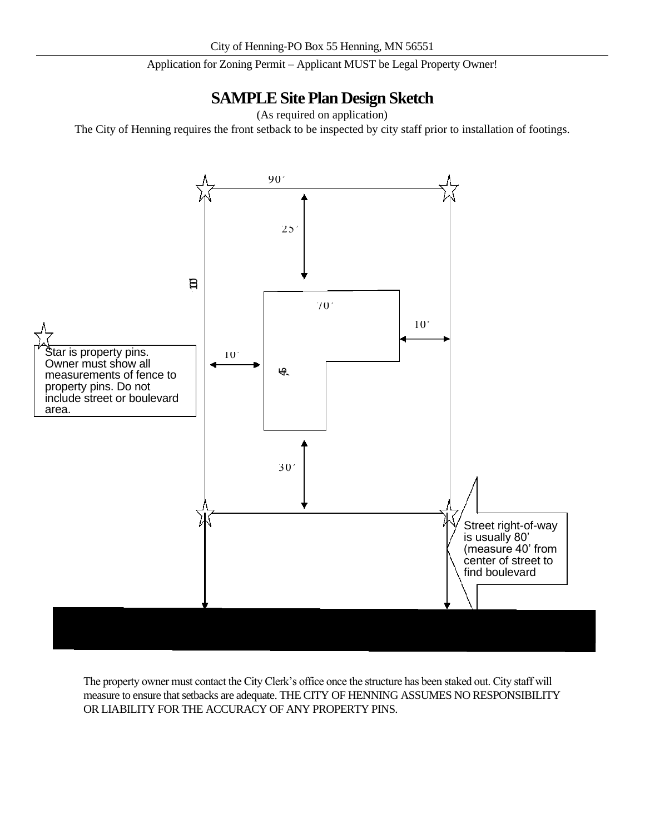## **SAMPLE Site Plan Design Sketch**

(As required on application)

The City of Henning requires the front setback to be inspected by city staff prior to installation of footings.



The property owner must contact the City Clerk's office once the structure has been staked out. City staff will measure to ensure that setbacks are adequate. THE CITY OF HENNING ASSUMES NO RESPONSIBILITY OR LIABILITY FOR THE ACCURACY OF ANY PROPERTY PINS.